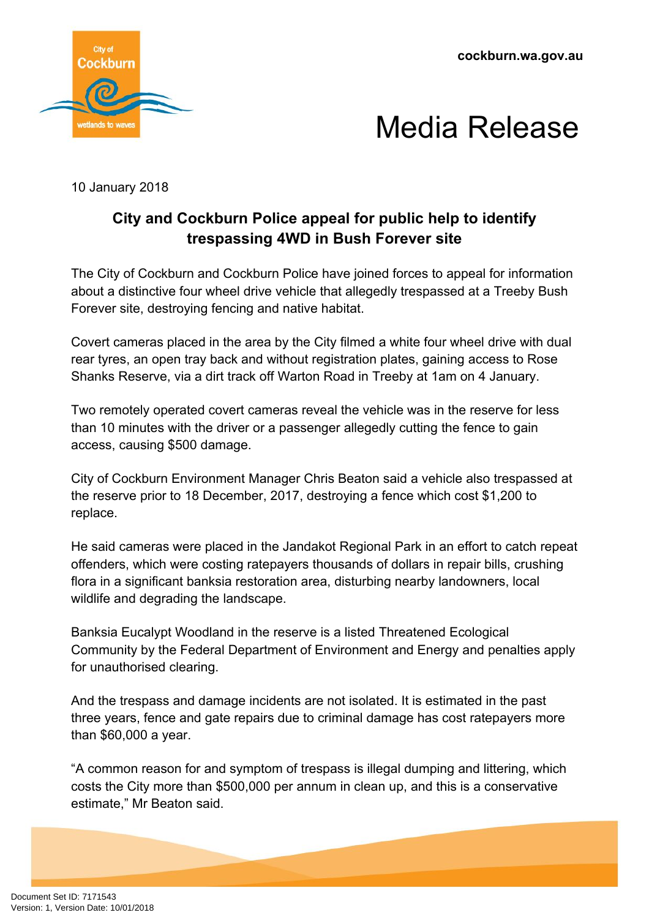**cockburn.wa.gov.au**





10 January 2018

## **City and Cockburn Police appeal for public help to identify trespassing 4WD in Bush Forever site**

The City of Cockburn and Cockburn Police have joined forces to appeal for information about a distinctive four wheel drive vehicle that allegedly trespassed at a Treeby Bush Forever site, destroying fencing and native habitat.

Covert cameras placed in the area by the City filmed a white four wheel drive with dual rear tyres, an open tray back and without registration plates, gaining access to Rose Shanks Reserve, via a dirt track off Warton Road in Treeby at 1am on 4 January.

Two remotely operated covert cameras reveal the vehicle was in the reserve for less than 10 minutes with the driver or a passenger allegedly cutting the fence to gain access, causing \$500 damage.

City of Cockburn Environment Manager Chris Beaton said a vehicle also trespassed at the reserve prior to 18 December, 2017, destroying a fence which cost \$1,200 to replace.

He said cameras were placed in the Jandakot Regional Park in an effort to catch repeat offenders, which were costing ratepayers thousands of dollars in repair bills, crushing flora in a significant banksia restoration area, disturbing nearby landowners, local wildlife and degrading the landscape.

Banksia Eucalypt Woodland in the reserve is a listed Threatened Ecological Community by the Federal Department of Environment and Energy and penalties apply for unauthorised clearing.

And the trespass and damage incidents are not isolated. It is estimated in the past three years, fence and gate repairs due to criminal damage has cost ratepayers more than \$60,000 a year.

"A common reason for and symptom of trespass is illegal dumping and littering, which costs the City more than \$500,000 per annum in clean up, and this is a conservative estimate," Mr Beaton said.

Document Set ID: 7171543<br>Version: 1, Version Date: 10/01/2018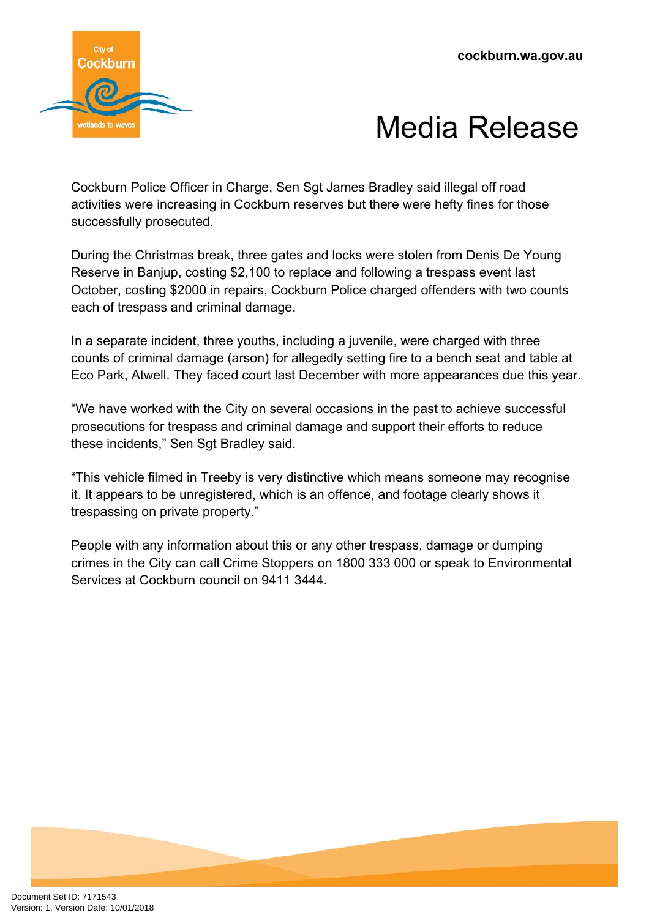



Cockburn Police Officer in Charge, Sen Sgt James Bradley said illegal off road activities were increasing in Cockburn reserves but there were hefty fines for those successfully prosecuted.

During the Christmas break, three gates and locks were stolen from Denis De Young Reserve in Banjup, costing \$2,100 to replace and following a trespass event last October, costing \$2000 in repairs, Cockburn Police charged offenders with two counts each of trespass and criminal damage.

In a separate incident, three youths, including a juvenile, were charged with three counts of criminal damage (arson) for allegedly setting fire to a bench seat and table at Eco Park, Atwell. They faced court last December with more appearances due this year.

"We have worked with the City on several occasions in the past to achieve successful prosecutions for trespass and criminal damage and support their efforts to reduce these incidents," Sen Sgt Bradley said.

"This vehicle filmed in Treeby is very distinctive which means someone may recognise it. It appears to be unregistered, which is an offence, and footage clearly shows it trespassing on private property."

People with any information about this or any other trespass, damage or dumping crimes in the City can call Crime Stoppers on 1800 333 000 or speak to Environmental Services at Cockburn council on 9411 3444.